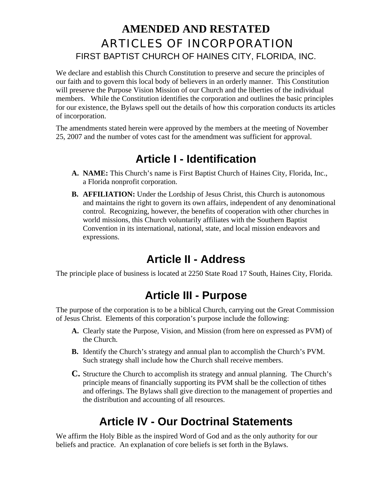## **AMENDED AND RESTATED** ARTICLES OF INCORPORATION FIRST BAPTIST CHURCH OF HAINES CITY, FLORIDA, INC.

We declare and establish this Church Constitution to preserve and secure the principles of our faith and to govern this local body of believers in an orderly manner. This Constitution will preserve the Purpose Vision Mission of our Church and the liberties of the individual members. While the Constitution identifies the corporation and outlines the basic principles for our existence, the Bylaws spell out the details of how this corporation conducts its articles of incorporation.

The amendments stated herein were approved by the members at the meeting of November 25, 2007 and the number of votes cast for the amendment was sufficient for approval.

## **Article I - Identification**

- **A. NAME:** This Church's name is First Baptist Church of Haines City, Florida, Inc., a Florida nonprofit corporation.
- **B. AFFILIATION:** Under the Lordship of Jesus Christ, this Church is autonomous and maintains the right to govern its own affairs, independent of any denominational control. Recognizing, however, the benefits of cooperation with other churches in world missions, this Church voluntarily affiliates with the Southern Baptist Convention in its international, national, state, and local mission endeavors and expressions.

# **Article II - Address**

The principle place of business is located at 2250 State Road 17 South, Haines City, Florida.

# **Article III - Purpose**

The purpose of the corporation is to be a biblical Church, carrying out the Great Commission of Jesus Christ. Elements of this corporation's purpose include the following:

- **A.** Clearly state the Purpose, Vision, and Mission (from here on expressed as PVM) of the Church.
- **B.** Identify the Church's strategy and annual plan to accomplish the Church's PVM. Such strategy shall include how the Church shall receive members.
- **C.** Structure the Church to accomplish its strategy and annual planning. The Church's principle means of financially supporting its PVM shall be the collection of tithes and offerings. The Bylaws shall give direction to the management of properties and the distribution and accounting of all resources.

# **Article IV - Our Doctrinal Statements**

We affirm the Holy Bible as the inspired Word of God and as the only authority for our beliefs and practice. An explanation of core beliefs is set forth in the Bylaws.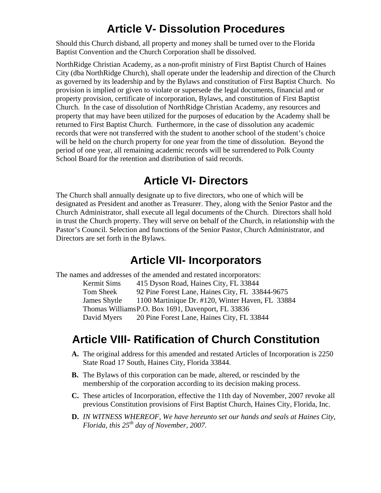# **Article V- Dissolution Procedures**

Should this Church disband, all property and money shall be turned over to the Florida Baptist Convention and the Church Corporation shall be dissolved.

NorthRidge Christian Academy, as a non-profit ministry of First Baptist Church of Haines City (dba NorthRidge Church), shall operate under the leadership and direction of the Church as governed by its leadership and by the Bylaws and constitution of First Baptist Church. No provision is implied or given to violate or supersede the legal documents, financial and or property provision, certificate of incorporation, Bylaws, and constitution of First Baptist Church. In the case of dissolution of NorthRidge Christian Academy, any resources and property that may have been utilized for the purposes of education by the Academy shall be returned to First Baptist Church. Furthermore, in the case of dissolution any academic records that were not transferred with the student to another school of the student's choice will be held on the church property for one year from the time of dissolution. Beyond the period of one year, all remaining academic records will be surrendered to Polk County School Board for the retention and distribution of said records.

## **Article VI- Directors**

The Church shall annually designate up to five directors, who one of which will be designated as President and another as Treasurer. They, along with the Senior Pastor and the Church Administrator, shall execute all legal documents of the Church. Directors shall hold in trust the Church property. They will serve on behalf of the Church, in relationship with the Pastor's Council. Selection and functions of the Senior Pastor, Church Administrator, and Directors are set forth in the Bylaws.

## **Article VII- Incorporators**

| The names and addresses of the amended and restated incorporators: |                                                  |
|--------------------------------------------------------------------|--------------------------------------------------|
| Kermit Sims                                                        | 415 Dyson Road, Haines City, FL 33844            |
| Tom Sheek                                                          | 92 Pine Forest Lane, Haines City, FL 33844-9675  |
| James Shytle                                                       | 1100 Martinique Dr. #120, Winter Haven, FL 33884 |
| Thomas Williams P.O. Box 1691, Davenport, FL 33836                 |                                                  |
| David Myers                                                        | 20 Pine Forest Lane, Haines City, FL 33844       |

## **Article VIII- Ratification of Church Constitution**

- **A.** The original address for this amended and restated Articles of Incorporation is 2250 State Road 17 South, Haines City, Florida 33844.
- **B.** The Bylaws of this corporation can be made, altered, or rescinded by the membership of the corporation according to its decision making process.
- **C.** These articles of Incorporation, effective the 11th day of November, 2007 revoke all previous Constitution provisions of First Baptist Church, Haines City, Florida, Inc.
- **D.** *IN WITNESS WHEREOF, We have hereunto set our hands and seals at Haines City, Florida, this 25th day of November, 2007.*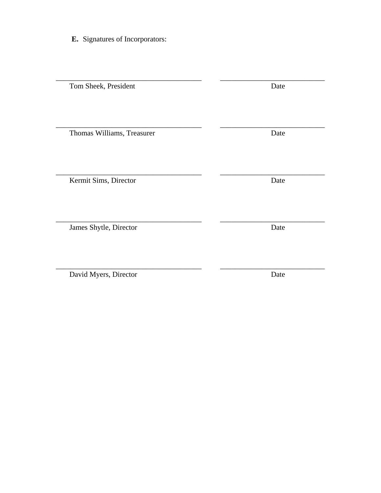E. Signatures of Incorporators:

Tom Sheek, President

Thomas Williams, Treasurer

Kermit Sims, Director

James Shytle, Director

David Myers, Director

Date

Date

Date

Date

Date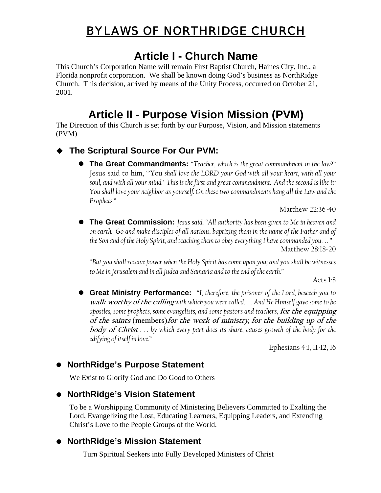# BYLAWS OF NORTHRIDGE CHURCH

## **Article I - Church Name**

This Church's Corporation Name will remain First Baptist Church, Haines City, Inc., a Florida nonprofit corporation. We shall be known doing God's business as NorthRidge Church. This decision, arrived by means of the Unity Process, occurred on October 21, 2001.

## **Article II - Purpose Vision Mission (PVM)**

The Direction of this Church is set forth by our Purpose, Vision, and Mission statements (PVM)

#### **The Scriptural Source For Our PVM:**

● The Great Commandments: "Teacher, which is the great commandment in the law?" Jesus said to him, "'You *shall love the LORD your God with all your heart, with all your soul, and with all your mind.' This is the first and great commandment. And the second is like it:*  You shall love your neighbor as yourself. On these two commandments hang all the Law and the *Prophets.*"

Matthew 22:36-40

**• The Great Commission:** *Jesus said, "All authority has been given to Me in heaven and on earth. Go and make disciples of all nations, baptizing them in the name of the Father and of the Son and of the Holy Spirit, and teaching them to obey everything I have commanded you . . .* " Matthew 28:18-20

"*But you shall receive power when the Holy Spirit has come upon you; and you shall be witnesses to Me in Jerusalem and in all Judea and Samaria and to the end of the earth."* 

Acts 1:8

z **Great Ministry Performance:** "*I, therefore, the prisoner of the Lord, beseech you to walk worthy of the calling* with which you were called. . . And He Himself gave some to be *apostles, some prophets, some evangelists, and some pastors and teachers,* **for the equipping of the saints (members)for the work of ministry***,* **for the building up of the body of Christ** *. . . by which every part does its share, causes growth of the body for the edifying of itself in love.*"

Ephesians 4:1, 11-12, 16

## z **NorthRidge's Purpose Statement**

We Exist to Glorify God and Do Good to Others

#### ● NorthRidge's Vision Statement

To be a Worshipping Community of Ministering Believers Committed to Exalting the Lord, Evangelizing the Lost, Educating Learners, Equipping Leaders, and Extending Christ's Love to the People Groups of the World.

#### **• NorthRidge's Mission Statement**

Turn Spiritual Seekers into Fully Developed Ministers of Christ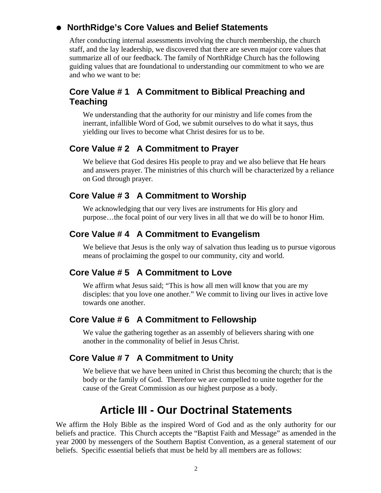#### ● NorthRidge's Core Values and Belief Statements

After conducting internal assessments involving the church membership, the church staff, and the lay leadership, we discovered that there are seven major core values that summarize all of our feedback. The family of NorthRidge Church has the following guiding values that are foundational to understanding our commitment to who we are and who we want to be:

#### **Core Value # 1 A Commitment to Biblical Preaching and Teaching**

We understanding that the authority for our ministry and life comes from the inerrant, infallible Word of God, we submit ourselves to do what it says, thus yielding our lives to become what Christ desires for us to be.

#### **Core Value # 2 A Commitment to Prayer**

We believe that God desires His people to pray and we also believe that He hears and answers prayer. The ministries of this church will be characterized by a reliance on God through prayer.

### **Core Value # 3 A Commitment to Worship**

We acknowledging that our very lives are instruments for His glory and purpose…the focal point of our very lives in all that we do will be to honor Him.

#### **Core Value # 4 A Commitment to Evangelism**

We believe that Jesus is the only way of salvation thus leading us to pursue vigorous means of proclaiming the gospel to our community, city and world.

#### **Core Value # 5 A Commitment to Love**

We affirm what Jesus said; "This is how all men will know that you are my disciples: that you love one another." We commit to living our lives in active love towards one another.

#### **Core Value # 6 A Commitment to Fellowship**

We value the gathering together as an assembly of believers sharing with one another in the commonality of belief in Jesus Christ.

#### **Core Value # 7 A Commitment to Unity**

We believe that we have been united in Christ thus becoming the church; that is the body or the family of God. Therefore we are compelled to unite together for the cause of the Great Commission as our highest purpose as a body.

## **Article III - Our Doctrinal Statements**

We affirm the Holy Bible as the inspired Word of God and as the only authority for our beliefs and practice. This Church accepts the "Baptist Faith and Message" as amended in the year 2000 by messengers of the Southern Baptist Convention, as a general statement of our beliefs. Specific essential beliefs that must be held by all members are as follows: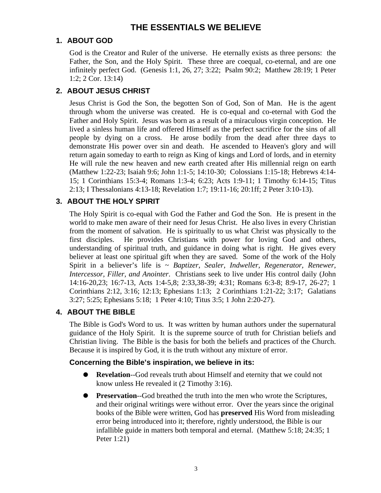#### **THE ESSENTIALS WE BELIEVE**

#### **1. ABOUT GOD**

God is the Creator and Ruler of the universe. He eternally exists as three persons: the Father, the Son, and the Holy Spirit. These three are coequal, co-eternal, and are one infinitely perfect God. (Genesis 1:1, 26, 27; 3:22; Psalm 90:2; Matthew 28:19; 1 Peter 1:2; 2 Cor. 13:14)

#### **2. ABOUT JESUS CHRIST**

Jesus Christ is God the Son, the begotten Son of God, Son of Man. He is the agent through whom the universe was created. He is co-equal and co-eternal with God the Father and Holy Spirit. Jesus was born as a result of a miraculous virgin conception. He lived a sinless human life and offered Himself as the perfect sacrifice for the sins of all people by dying on a cross. He arose bodily from the dead after three days to demonstrate His power over sin and death. He ascended to Heaven's glory and will return again someday to earth to reign as King of kings and Lord of lords, and in eternity He will rule the new heaven and new earth created after His millennial reign on earth (Matthew 1:22-23; Isaiah 9:6; John 1:1-5; 14:10-30; Colossians 1:15-18; Hebrews 4:14- 15; 1 Corinthians 15:3-4; Romans 1:3-4; 6:23; Acts 1:9-11; 1 Timothy 6:14-15; Titus 2:13; I Thessalonians 4:13-18; Revelation 1:7; 19:11-16; 20:1ff; 2 Peter 3:10-13).

#### **3. ABOUT THE HOLY SPIRIT**

The Holy Spirit is co-equal with God the Father and God the Son. He is present in the world to make men aware of their need for Jesus Christ. He also lives in every Christian from the moment of salvation. He is spiritually to us what Christ was physically to the first disciples. He provides Christians with power for loving God and others, understanding of spiritual truth, and guidance in doing what is right. He gives every believer at least one spiritual gift when they are saved. Some of the work of the Holy Spirit in a believer's life is ~ *Baptizer, Sealer, Indweller, Regenerator, Renewer, Intercessor, Filler, and Anointer*. Christians seek to live under His control daily (John 14:16-20,23; 16:7-13, Acts 1:4-5,8; 2:33,38-39; 4:31; Romans 6:3-8; 8:9-17, 26-27; 1 Corinthians 2:12, 3:16; 12:13; Ephesians 1:13; 2 Corinthians 1:21-22; 3:17; Galatians 3:27; 5:25; Ephesians 5:18; 1 Peter 4:10; Titus 3:5; 1 John 2:20-27).

#### **4. ABOUT THE BIBLE**

The Bible is God's Word to us. It was written by human authors under the supernatural guidance of the Holy Spirit. It is the supreme source of truth for Christian beliefs and Christian living. The Bible is the basis for both the beliefs and practices of the Church. Because it is inspired by God, it is the truth without any mixture of error.

#### **Concerning the Bible's inspiration, we believe in its:**

- **Revelation**--God reveals truth about Himself and eternity that we could not know unless He revealed it (2 Timothy 3:16).
- **• Preservation**--God breathed the truth into the men who wrote the Scriptures, and their original writings were without error. Over the years since the original books of the Bible were written, God has **preserved** His Word from misleading error being introduced into it; therefore, rightly understood, the Bible is our infallible guide in matters both temporal and eternal. (Matthew 5:18; 24:35; 1 Peter 1:21)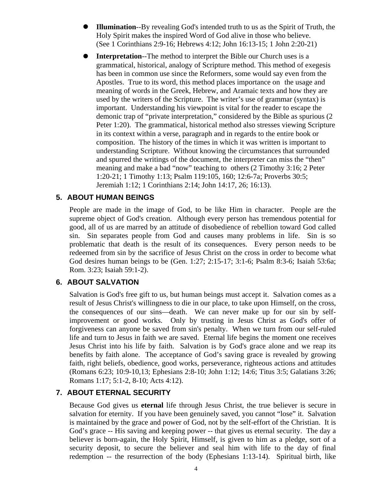- **Illumination--By revealing God's intended truth to us as the Spirit of Truth, the** Holy Spirit makes the inspired Word of God alive in those who believe. (See 1 Corinthians 2:9-16; Hebrews 4:12; John 16:13-15; 1 John 2:20-21)
- **Interpretation--The method to interpret the Bible our Church uses is a** grammatical, historical, analogy of Scripture method. This method of exegesis has been in common use since the Reformers, some would say even from the Apostles. True to its word, this method places importance on the usage and meaning of words in the Greek, Hebrew, and Aramaic texts and how they are used by the writers of the Scripture. The writer's use of grammar (syntax) is important. Understanding his viewpoint is vital for the reader to escape the demonic trap of "private interpretation," considered by the Bible as spurious (2 Peter 1:20). The grammatical, historical method also stresses viewing Scripture in its context within a verse, paragraph and in regards to the entire book or composition. The history of the times in which it was written is important to understanding Scripture. Without knowing the circumstances that surrounded and spurred the writings of the document, the interpreter can miss the "then" meaning and make a bad "now" teaching to others (2 Timothy 3:16; 2 Peter 1:20-21; 1 Timothy 1:13; Psalm 119:105, 160; 12:6-7a; Proverbs 30:5; Jeremiah 1:12; 1 Corinthians 2:14; John 14:17, 26; 16:13).

#### **5. ABOUT HUMAN BEINGS**

People are made in the image of God, to be like Him in character. People are the supreme object of God's creation. Although every person has tremendous potential for good, all of us are marred by an attitude of disobedience of rebellion toward God called sin. Sin separates people from God and causes many problems in life. Sin is so problematic that death is the result of its consequences. Every person needs to be redeemed from sin by the sacrifice of Jesus Christ on the cross in order to become what God desires human beings to be (Gen. 1:27; 2:15-17; 3:1-6; Psalm 8:3-6; Isaiah 53:6a; Rom. 3:23; Isaiah 59:1-2).

#### **6. ABOUT SALVATION**

Salvation is God's free gift to us, but human beings must accept it. Salvation comes as a result of Jesus Christ's willingness to die in our place, to take upon Himself, on the cross, the consequences of our sins—death. We can never make up for our sin by selfimprovement or good works. Only by trusting in Jesus Christ as God's offer of forgiveness can anyone be saved from sin's penalty. When we turn from our self-ruled life and turn to Jesus in faith we are saved. Eternal life begins the moment one receives Jesus Christ into his life by faith. Salvation is by God's grace alone and we reap its benefits by faith alone. The acceptance of God's saving grace is revealed by growing faith, right beliefs, obedience, good works, perseverance, righteous actions and attitudes (Romans 6:23; 10:9-10,13; Ephesians 2:8-10; John 1:12; 14:6; Titus 3:5; Galatians 3:26; Romans 1:17; 5:1-2, 8-10; Acts 4:12).

#### **7. ABOUT ETERNAL SECURITY**

Because God gives us **eternal** life through Jesus Christ, the true believer is secure in salvation for eternity. If you have been genuinely saved, you cannot "lose" it. Salvation is maintained by the grace and power of God, not by the self-effort of the Christian. It is God's grace -- His saving and keeping power -- that gives us eternal security. The day a believer is born-again, the Holy Spirit, Himself, is given to him as a pledge, sort of a security deposit, to secure the believer and seal him with life to the day of final redemption -- the resurrection of the body (Ephesians 1:13-14). Spiritual birth, like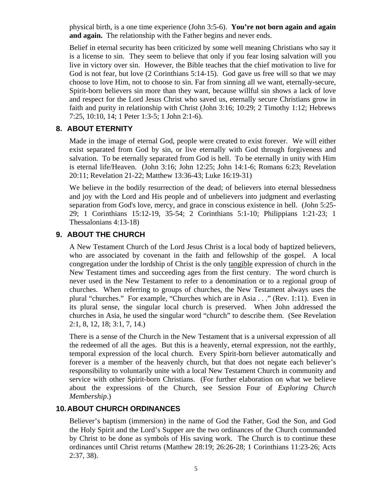physical birth, is a one time experience (John 3:5-6). **You're not born again and again and again.** The relationship with the Father begins and never ends.

Belief in eternal security has been criticized by some well meaning Christians who say it is a license to sin. They seem to believe that only if you fear losing salvation will you live in victory over sin. However, the Bible teaches that the chief motivation to live for God is not fear, but love (2 Corinthians 5:14-15). God gave us free will so that we may choose to love Him, not to choose to sin. Far from sinning all we want, eternally-secure, Spirit-born believers sin more than they want, because willful sin shows a lack of love and respect for the Lord Jesus Christ who saved us, eternally secure Christians grow in faith and purity in relationship with Christ (John 3:16; 10:29; 2 Timothy 1:12; Hebrews 7:25, 10:10, 14; 1 Peter 1:3-5; 1 John 2:1-6).

#### **8. ABOUT ETERNITY**

Made in the image of eternal God, people were created to exist forever. We will either exist separated from God by sin, or live eternally with God through forgiveness and salvation. To be eternally separated from God is hell. To be eternally in unity with Him is eternal life/Heaven. (John 3:16; John 12:25; John 14:1-6; Romans 6:23; Revelation 20:11; Revelation 21-22; Matthew 13:36-43; Luke 16:19-31)

We believe in the bodily resurrection of the dead; of believers into eternal blessedness and joy with the Lord and His people and of unbelievers into judgment and everlasting separation from God's love, mercy, and grace in conscious existence in hell. (John 5:25- 29; 1 Corinthians 15:12-19, 35-54; 2 Corinthians 5:1-10; Philippians 1:21-23; 1 Thessalonians 4:13-18)

#### **9. ABOUT THE CHURCH**

A New Testament Church of the Lord Jesus Christ is a local body of baptized believers, who are associated by covenant in the faith and fellowship of the gospel. A local congregation under the lordship of Christ is the only tangible expression of church in the New Testament times and succeeding ages from the first century. The word church is never used in the New Testament to refer to a denomination or to a regional group of churches. When referring to groups of churches, the New Testament always uses the plural "churches." For example, "Churches which are in Asia . . ." (Rev. 1:11). Even in its plural sense, the singular local church is preserved. When John addressed the churches in Asia, he used the singular word "church" to describe them. (See Revelation 2:1, 8, 12, 18; 3:1, 7, 14.)

There is a sense of the Church in the New Testament that is a universal expression of all the redeemed of all the ages. But this is a heavenly, eternal expression, not the earthly, temporal expression of the local church. Every Spirit-born believer automatically and forever is a member of the heavenly church, but that does not negate each believer's responsibility to voluntarily unite with a local New Testament Church in community and service with other Spirit-born Christians. (For further elaboration on what we believe about the expressions of the Church, see Session Four of *Exploring Church Membership*.)

#### **10. ABOUT CHURCH ORDINANCES**

Believer's baptism (immersion) in the name of God the Father, God the Son, and God the Holy Spirit and the Lord's Supper are the two ordinances of the Church commanded by Christ to be done as symbols of His saving work. The Church is to continue these ordinances until Christ returns (Matthew 28:19; 26:26-28; 1 Corinthians 11:23-26; Acts 2:37, 38).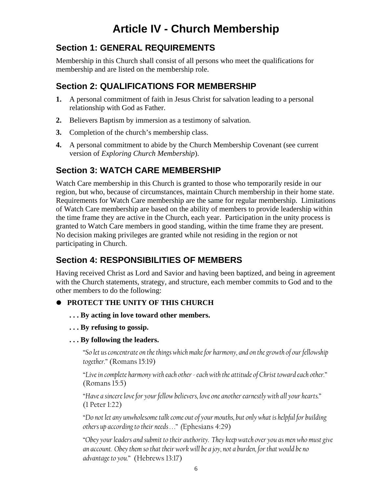### **Section 1: GENERAL REQUIREMENTS**

Membership in this Church shall consist of all persons who meet the qualifications for membership and are listed on the membership role.

### **Section 2: QUALIFICATIONS FOR MEMBERSHIP**

- **1.** A personal commitment of faith in Jesus Christ for salvation leading to a personal relationship with God as Father.
- **2.** Believers Baptism by immersion as a testimony of salvation.
- **3.** Completion of the church's membership class.
- **4.** A personal commitment to abide by the Church Membership Covenant (see current version of *Exploring Church Membership*).

## **Section 3: WATCH CARE MEMBERSHIP**

Watch Care membership in this Church is granted to those who temporarily reside in our region, but who, because of circumstances, maintain Church membership in their home state. Requirements for Watch Care membership are the same for regular membership. Limitations of Watch Care membership are based on the ability of members to provide leadership within the time frame they are active in the Church, each year. Participation in the unity process is granted to Watch Care members in good standing, within the time frame they are present. No decision making privileges are granted while not residing in the region or not participating in Church.

## **Section 4: RESPONSIBILITIES OF MEMBERS**

Having received Christ as Lord and Savior and having been baptized, and being in agreement with the Church statements, strategy, and structure, each member commits to God and to the other members to do the following:

#### $\bullet$  **PROTECT THE UNITY OF THIS CHURCH**

- **. . . By acting in love toward other members.**
- **. . . By refusing to gossip.**

#### **. . . By following the leaders.**

"*So let us concentrate on the things which make for harmony, and on the growth of our fellowship together.*" (Romans 15:19)

"*Live in complete harmony with each other - each with the attitude of Christ toward each other.*" (Romans 15:5)

"*Have a sincere love for your fellow believers, love one another earnestly with all your hearts.*" (1 Peter 1:22)

"*Do not let any unwholesome talk come out of your mouths, but only what is helpful for building others up according to their needs . . .*" *(*Ephesians 4:29)

"*Obey your leaders and submit to their authority. They keep watch over you as men who must give an account. Obey them so that their work will be a joy, not a burden, for that would be no advantage to you.*" (Hebrews 13:17)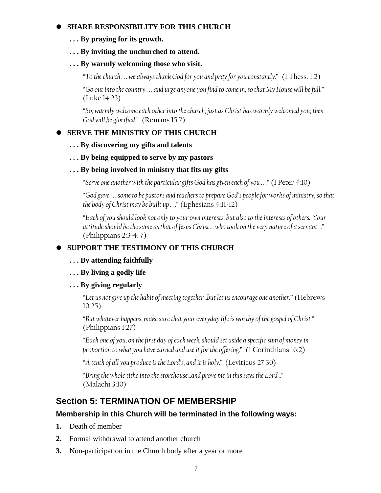#### $\bullet$  **SHARE RESPONSIBILITY FOR THIS CHURCH**

- **. . . By praying for its growth.**
- **. . . By inviting the unchurched to attend.**
- **. . . By warmly welcoming those who visit.**

"*To the church . . . we always thank God for you and pray for you constantly.*" (1 Thess. 1:2)

"*Go out into the country . . . and urge anyone you find to come in, so that My House will be full.*" (Luke 14:23)

"*So, warmly welcome each other into the church, just as Christ has warmly welcomed you; then God will be glorified.*" (Romans 15:7)

#### $\bullet$  **SERVE THE MINISTRY OF THIS CHURCH**

 **. . . By discovering my gifts and talents** 

#### **. . . By being equipped to serve by my pastors**

#### **. . . By being involved in ministry that fits my gifts**

"*Serve one another with the particular gifts God has given each of you . . .*" (1 Peter 4:10)

"*God gave . . . some to be pastors and teachers to prepareGod's people for works of ministry, so that the body of Christ may be built up . . .*" (Ephesians 4:11-12)

"*Each of you should look not only to your own interests, but also to the interests of others. Your attitude should be the same as that of Jesus Christ ... who took on the very nature of a servant ...*" (Philippians 2:3-4, 7)

#### $\bullet$  **SUPPORT THE TESTIMONY OF THIS CHURCH**

#### **. . . By attending faithfully**

- **. . . By living a godly life**
- **. . . By giving regularly**

"*Let us not give up the habit of meeting together...but let us encourage one another.*" (Hebrews 10:25)

"*But whatever happens, make sure that your everyday life is worthy of the gospel of Christ.*" (Philippians 1:27)

"*Each one of you, on the first day of each week, should set aside a specific sum of money in proportion to what you have earned and use it for the offering.*" (1 Corinthians 16:2)

"*A tenth of all you produce is the Lord's, and it is holy.*"(Leviticus 27:30)

"*Bring the whole tithe into the storehouse...and prove me in this says the Lord...*" (Malachi 3:10)

## **Section 5: TERMINATION OF MEMBERSHIP**

#### **Membership in this Church will be terminated in the following ways:**

- **1.** Death of member
- **2.** Formal withdrawal to attend another church
- **3.** Non-participation in the Church body after a year or more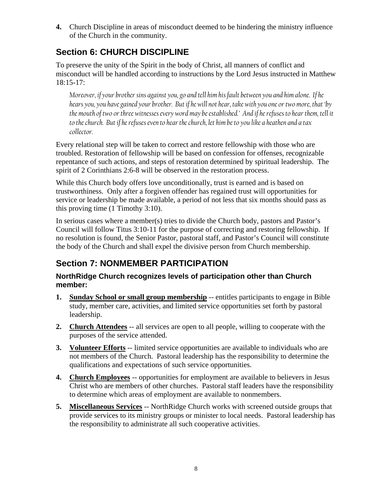**4.** Church Discipline in areas of misconduct deemed to be hindering the ministry influence of the Church in the community.

## **Section 6: CHURCH DISCIPLINE**

To preserve the unity of the Spirit in the body of Christ, all manners of conflict and misconduct will be handled according to instructions by the Lord Jesus instructed in Matthew 18:15-17:

*Moreover, if your brother sins against you, go and tell him his fault between you and him alone. If he hears you, you have gained your brother. But if he will not hear, take with you one or two more, that 'by the mouth of two or three witnesses every word may be established.' And if he refuses to hear them, tell it to the church. But if he refuses even to hear the church, let him be to you like a heathen and a tax collector.*

Every relational step will be taken to correct and restore fellowship with those who are troubled. Restoration of fellowship will be based on confession for offenses, recognizable repentance of such actions, and steps of restoration determined by spiritual leadership. The spirit of 2 Corinthians 2:6-8 will be observed in the restoration process.

While this Church body offers love unconditionally, trust is earned and is based on trustworthiness. Only after a forgiven offender has regained trust will opportunities for service or leadership be made available, a period of not less that six months should pass as this proving time (1 Timothy 3:10).

In serious cases where a member(s) tries to divide the Church body, pastors and Pastor's Council will follow Titus 3:10-11 for the purpose of correcting and restoring fellowship. If no resolution is found, the Senior Pastor, pastoral staff, and Pastor's Council will constitute the body of the Church and shall expel the divisive person from Church membership.

## **Section 7: NONMEMBER PARTICIPATION**

#### **NorthRidge Church recognizes levels of participation other than Church member:**

- **1. Sunday School or small group membership** -- entitles participants to engage in Bible study, member care, activities, and limited service opportunities set forth by pastoral leadership.
- **2. Church Attendees** -- all services are open to all people, willing to cooperate with the purposes of the service attended.
- **3. Volunteer Efforts** -- limited service opportunities are available to individuals who are not members of the Church. Pastoral leadership has the responsibility to determine the qualifications and expectations of such service opportunities.
- **4. Church Employees** -- opportunities for employment are available to believers in Jesus Christ who are members of other churches. Pastoral staff leaders have the responsibility to determine which areas of employment are available to nonmembers.
- **5. Miscellaneous Services** -- NorthRidge Church works with screened outside groups that provide services to its ministry groups or minister to local needs. Pastoral leadership has the responsibility to administrate all such cooperative activities.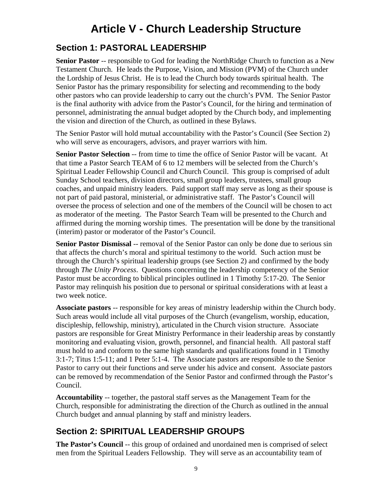# **Article V - Church Leadership Structure**

### **Section 1: PASTORAL LEADERSHIP**

**Senior Pastor** -- responsible to God for leading the NorthRidge Church to function as a New Testament Church. He leads the Purpose, Vision, and Mission (PVM) of the Church under the Lordship of Jesus Christ. He is to lead the Church body towards spiritual health. The Senior Pastor has the primary responsibility for selecting and recommending to the body other pastors who can provide leadership to carry out the church's PVM. The Senior Pastor is the final authority with advice from the Pastor's Council, for the hiring and termination of personnel, administrating the annual budget adopted by the Church body, and implementing the vision and direction of the Church, as outlined in these Bylaws.

The Senior Pastor will hold mutual accountability with the Pastor's Council (See Section 2) who will serve as encouragers, advisors, and prayer warriors with him.

**Senior Pastor Selection** -- from time to time the office of Senior Pastor will be vacant. At that time a Pastor Search TEAM of 6 to 12 members will be selected from the Church's Spiritual Leader Fellowship Council and Church Council. This group is comprised of adult Sunday School teachers, division directors, small group leaders, trustees, small group coaches, and unpaid ministry leaders. Paid support staff may serve as long as their spouse is not part of paid pastoral, ministerial, or administrative staff. The Pastor's Council will oversee the process of selection and one of the members of the Council will be chosen to act as moderator of the meeting. The Pastor Search Team will be presented to the Church and affirmed during the morning worship times. The presentation will be done by the transitional (interim) pastor or moderator of the Pastor's Council.

**Senior Pastor Dismissal** -- removal of the Senior Pastor can only be done due to serious sin that affects the church's moral and spiritual testimony to the world. Such action must be through the Church's spiritual leadership groups (see Section 2) and confirmed by the body through *The Unity Process*. Questions concerning the leadership competency of the Senior Pastor must be according to biblical principles outlined in 1 Timothy 5:17-20. The Senior Pastor may relinquish his position due to personal or spiritual considerations with at least a two week notice.

**Associate pastors** -- responsible for key areas of ministry leadership within the Church body. Such areas would include all vital purposes of the Church (evangelism, worship, education, discipleship, fellowship, ministry), articulated in the Church vision structure. Associate pastors are responsible for Great Ministry Performance in their leadership areas by constantly monitoring and evaluating vision, growth, personnel, and financial health. All pastoral staff must hold to and conform to the same high standards and qualifications found in 1 Timothy 3:1-7; Titus 1:5-11; and 1 Peter 5:1-4. The Associate pastors are responsible to the Senior Pastor to carry out their functions and serve under his advice and consent. Associate pastors can be removed by recommendation of the Senior Pastor and confirmed through the Pastor's Council.

**Accountability** -- together, the pastoral staff serves as the Management Team for the Church, responsible for administrating the direction of the Church as outlined in the annual Church budget and annual planning by staff and ministry leaders.

## **Section 2: SPIRITUAL LEADERSHIP GROUPS**

**The Pastor's Council --** this group of ordained and unordained men is comprised of select men from the Spiritual Leaders Fellowship. They will serve as an accountability team of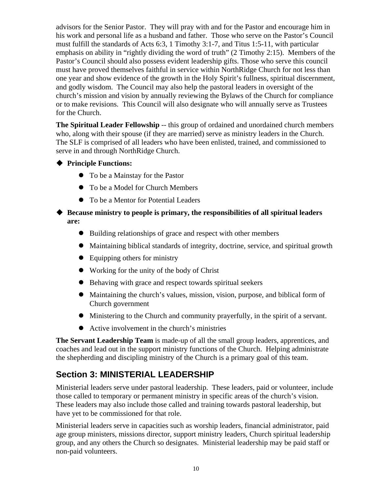advisors for the Senior Pastor. They will pray with and for the Pastor and encourage him in his work and personal life as a husband and father. Those who serve on the Pastor's Council must fulfill the standards of Acts 6:3, 1 Timothy 3:1-7, and Titus 1:5-11, with particular emphasis on ability in "rightly dividing the word of truth" (2 Timothy 2:15). Members of the Pastor's Council should also possess evident leadership gifts. Those who serve this council must have proved themselves faithful in service within NorthRidge Church for not less than one year and show evidence of the growth in the Holy Spirit's fullness, spiritual discernment, and godly wisdom. The Council may also help the pastoral leaders in oversight of the church's mission and vision by annually reviewing the Bylaws of the Church for compliance or to make revisions. This Council will also designate who will annually serve as Trustees for the Church.

**The Spiritual Leader Fellowship** -- this group of ordained and unordained church members who, along with their spouse (if they are married) serve as ministry leaders in the Church. The SLF is comprised of all leaders who have been enlisted, trained, and commissioned to serve in and through NorthRidge Church.

- ◆ Principle Functions:
	- To be a Mainstay for the Pastor
	- To be a Model for Church Members
	- To be a Mentor for Potential Leaders
- **Because ministry to people is primary, the responsibilities of all spiritual leaders are:**
	- Building relationships of grace and respect with other members
	- Maintaining biblical standards of integrity, doctrine, service, and spiritual growth
	- $\bullet$  Equipping others for ministry
	- Working for the unity of the body of Christ
	- Behaving with grace and respect towards spiritual seekers
	- Maintaining the church's values, mission, vision, purpose, and biblical form of Church government
	- Ministering to the Church and community prayerfully, in the spirit of a servant.
	- $\bullet$  Active involvement in the church's ministries

**The Servant Leadership Team** is made-up of all the small group leaders, apprentices, and coaches and lead out in the support ministry functions of the Church. Helping administrate the shepherding and discipling ministry of the Church is a primary goal of this team.

### **Section 3: MINISTERIAL LEADERSHIP**

Ministerial leaders serve under pastoral leadership. These leaders, paid or volunteer, include those called to temporary or permanent ministry in specific areas of the church's vision. These leaders may also include those called and training towards pastoral leadership, but have yet to be commissioned for that role.

Ministerial leaders serve in capacities such as worship leaders, financial administrator, paid age group ministers, missions director, support ministry leaders, Church spiritual leadership group, and any others the Church so designates. Ministerial leadership may be paid staff or non-paid volunteers.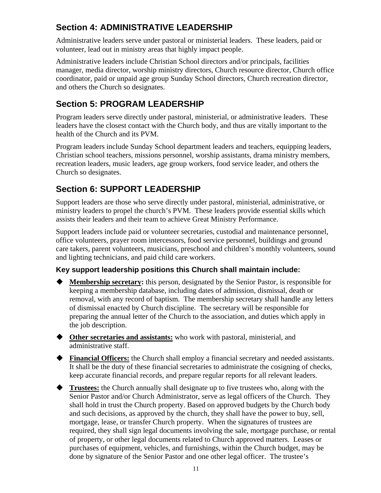### **Section 4: ADMINISTRATIVE LEADERSHIP**

Administrative leaders serve under pastoral or ministerial leaders. These leaders, paid or volunteer, lead out in ministry areas that highly impact people.

Administrative leaders include Christian School directors and/or principals, facilities manager, media director, worship ministry directors, Church resource director, Church office coordinator, paid or unpaid age group Sunday School directors, Church recreation director, and others the Church so designates.

## **Section 5: PROGRAM LEADERSHIP**

Program leaders serve directly under pastoral, ministerial, or administrative leaders. These leaders have the closest contact with the Church body, and thus are vitally important to the health of the Church and its PVM.

Program leaders include Sunday School department leaders and teachers, equipping leaders, Christian school teachers, missions personnel, worship assistants, drama ministry members, recreation leaders, music leaders, age group workers, food service leader, and others the Church so designates.

## **Section 6: SUPPORT LEADERSHIP**

Support leaders are those who serve directly under pastoral, ministerial, administrative, or ministry leaders to propel the church's PVM. These leaders provide essential skills which assists their leaders and their team to achieve Great Ministry Performance.

Support leaders include paid or volunteer secretaries, custodial and maintenance personnel, office volunteers, prayer room intercessors, food service personnel, buildings and ground care takers, parent volunteers, musicians, preschool and children's monthly volunteers, sound and lighting technicians, and paid child care workers.

#### **Key support leadership positions this Church shall maintain include:**

- **Membership secretary:** this person, designated by the Senior Pastor, is responsible for keeping a membership database, including dates of admission, dismissal, death or removal, with any record of baptism. The membership secretary shall handle any letters of dismissal enacted by Church discipline. The secretary will be responsible for preparing the annual letter of the Church to the association, and duties which apply in the job description.
- **Other secretaries and assistants:** who work with pastoral, ministerial, and administrative staff.
- **Financial Officers:** the Church shall employ a financial secretary and needed assistants. It shall be the duty of these financial secretaries to administrate the cosigning of checks, keep accurate financial records, and prepare regular reports for all relevant leaders.
- **Trustees:** the Church annually shall designate up to five trustees who, along with the Senior Pastor and/or Church Administrator, serve as legal officers of the Church. They shall hold in trust the Church property. Based on approved budgets by the Church body and such decisions, as approved by the church, they shall have the power to buy, sell, mortgage, lease, or transfer Church property. When the signatures of trustees are required, they shall sign legal documents involving the sale, mortgage purchase, or rental of property, or other legal documents related to Church approved matters. Leases or purchases of equipment, vehicles, and furnishings, within the Church budget, may be done by signature of the Senior Pastor and one other legal officer. The trustee's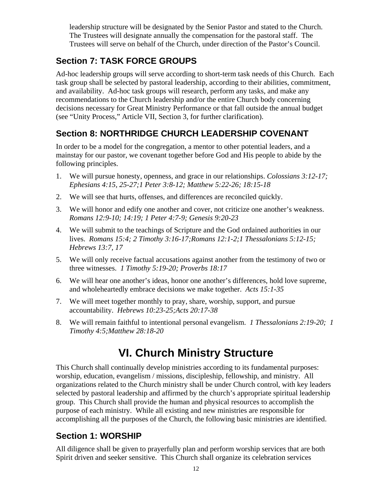leadership structure will be designated by the Senior Pastor and stated to the Church. The Trustees will designate annually the compensation for the pastoral staff. The Trustees will serve on behalf of the Church, under direction of the Pastor's Council.

## **Section 7: TASK FORCE GROUPS**

Ad-hoc leadership groups will serve according to short-term task needs of this Church. Each task group shall be selected by pastoral leadership, according to their abilities, commitment, and availability. Ad-hoc task groups will research, perform any tasks, and make any recommendations to the Church leadership and/or the entire Church body concerning decisions necessary for Great Ministry Performance or that fall outside the annual budget (see "Unity Process," Article VII, Section 3, for further clarification).

## **Section 8: NORTHRIDGE CHURCH LEADERSHIP COVENANT**

In order to be a model for the congregation, a mentor to other potential leaders, and a mainstay for our pastor, we covenant together before God and His people to abide by the following principles.

- 1. We will pursue honesty, openness, and grace in our relationships. *Colossians 3:12-17; Ephesians 4:15, 25-27;1 Peter 3:8-12; Matthew 5:22-26; 18:15-18*
- 2. We will see that hurts, offenses, and differences are reconciled quickly.
- 3. We will honor and edify one another and cover, not criticize one another's weakness. *Romans 12:9-10; 14:19; 1 Peter 4:7-9; Genesis 9:20-23*
- 4. We will submit to the teachings of Scripture and the God ordained authorities in our lives. *Romans 15:4; 2 Timothy 3:16-17;Romans 12:1-2;1 Thessalonians 5:12-15; Hebrews 13:7, 17*
- 5. We will only receive factual accusations against another from the testimony of two or three witnesses. *1 Timothy 5:19-20; Proverbs 18:17*
- 6. We will hear one another's ideas, honor one another's differences, hold love supreme, and wholeheartedly embrace decisions we make together. *Acts 15:1-35*
- 7. We will meet together monthly to pray, share, worship, support, and pursue accountability. *Hebrews 10:23-25;Acts 20:17-38*
- 8. We will remain faithful to intentional personal evangelism. *1 Thessalonians 2:19-20; 1 Timothy 4:5;Matthew 28:18-20*

# **VI. Church Ministry Structure**

This Church shall continually develop ministries according to its fundamental purposes: worship, education, evangelism / missions, discipleship, fellowship, and ministry. All organizations related to the Church ministry shall be under Church control, with key leaders selected by pastoral leadership and affirmed by the church's appropriate spiritual leadership group. This Church shall provide the human and physical resources to accomplish the purpose of each ministry. While all existing and new ministries are responsible for accomplishing all the purposes of the Church, the following basic ministries are identified.

## **Section 1: WORSHIP**

All diligence shall be given to prayerfully plan and perform worship services that are both Spirit driven and seeker sensitive. This Church shall organize its celebration services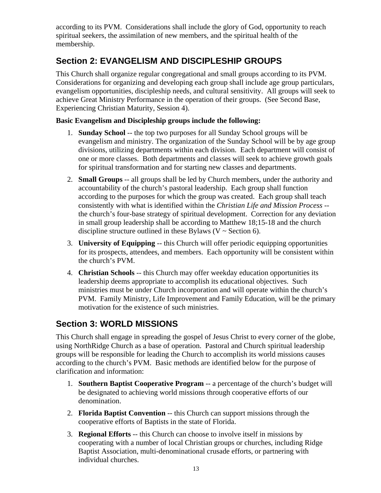according to its PVM. Considerations shall include the glory of God, opportunity to reach spiritual seekers, the assimilation of new members, and the spiritual health of the membership.

## **Section 2: EVANGELISM AND DISCIPLESHIP GROUPS**

This Church shall organize regular congregational and small groups according to its PVM. Considerations for organizing and developing each group shall include age group particulars, evangelism opportunities, discipleship needs, and cultural sensitivity. All groups will seek to achieve Great Ministry Performance in the operation of their groups. (See Second Base, Experiencing Christian Maturity, Session 4).

#### **Basic Evangelism and Discipleship groups include the following:**

- 1. **Sunday School** -- the top two purposes for all Sunday School groups will be evangelism and ministry. The organization of the Sunday School will be by age group divisions, utilizing departments within each division. Each department will consist of one or more classes. Both departments and classes will seek to achieve growth goals for spiritual transformation and for starting new classes and departments.
- 2. **Small Groups** -- all groups shall be led by Church members, under the authority and accountability of the church's pastoral leadership. Each group shall function according to the purposes for which the group was created. Each group shall teach consistently with what is identified within the *Christian Life and Mission Process* - the church's four-base strategy of spiritual development. Correction for any deviation in small group leadership shall be according to Matthew 18;15-18 and the church discipline structure outlined in these Bylaws ( $V \sim$  Section 6).
- 3. **University of Equipping** -- this Church will offer periodic equipping opportunities for its prospects, attendees, and members. Each opportunity will be consistent within the church's PVM.
- 4. **Christian Schools** -- this Church may offer weekday education opportunities its leadership deems appropriate to accomplish its educational objectives. Such ministries must be under Church incorporation and will operate within the church's PVM. Family Ministry, Life Improvement and Family Education, will be the primary motivation for the existence of such ministries.

### **Section 3: WORLD MISSIONS**

This Church shall engage in spreading the gospel of Jesus Christ to every corner of the globe, using NorthRidge Church as a base of operation. Pastoral and Church spiritual leadership groups will be responsible for leading the Church to accomplish its world missions causes according to the church's PVM. Basic methods are identified below for the purpose of clarification and information:

- 1. **Southern Baptist Cooperative Program** -- a percentage of the church's budget will be designated to achieving world missions through cooperative efforts of our denomination.
- 2. **Florida Baptist Convention** -- this Church can support missions through the cooperative efforts of Baptists in the state of Florida.
- 3. **Regional Efforts** -- this Church can choose to involve itself in missions by cooperating with a number of local Christian groups or churches, including Ridge Baptist Association, multi-denominational crusade efforts, or partnering with individual churches.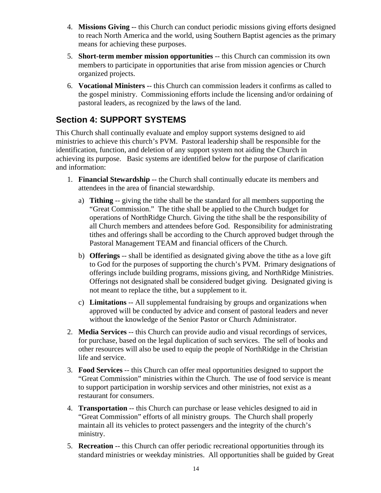- 4. **Missions Giving -** this Church can conduct periodic missions giving efforts designed to reach North America and the world, using Southern Baptist agencies as the primary means for achieving these purposes.
- 5. **Short-term member mission opportunities** -- this Church can commission its own members to participate in opportunities that arise from mission agencies or Church organized projects.
- 6. **Vocational Ministers -** this Church can commission leaders it confirms as called to the gospel ministry. Commissioning efforts include the licensing and/or ordaining of pastoral leaders, as recognized by the laws of the land.

### **Section 4: SUPPORT SYSTEMS**

This Church shall continually evaluate and employ support systems designed to aid ministries to achieve this church's PVM. Pastoral leadership shall be responsible for the identification, function, and deletion of any support system not aiding the Church in achieving its purpose. Basic systems are identified below for the purpose of clarification and information:

- 1. **Financial Stewardship** -- the Church shall continually educate its members and attendees in the area of financial stewardship.
	- a) **Tithing** -- giving the tithe shall be the standard for all members supporting the "Great Commission." The tithe shall be applied to the Church budget for operations of NorthRidge Church. Giving the tithe shall be the responsibility of all Church members and attendees before God. Responsibility for administrating tithes and offerings shall be according to the Church approved budget through the Pastoral Management TEAM and financial officers of the Church.
	- b) **Offerings** -- shall be identified as designated giving above the tithe as a love gift to God for the purposes of supporting the church's PVM. Primary designations of offerings include building programs, missions giving, and NorthRidge Ministries. Offerings not designated shall be considered budget giving. Designated giving is not meant to replace the tithe, but a supplement to it.
	- c) **Limitations** -- All supplemental fundraising by groups and organizations when approved will be conducted by advice and consent of pastoral leaders and never without the knowledge of the Senior Pastor or Church Administrator.
- 2. **Media Services** -- this Church can provide audio and visual recordings of services, for purchase, based on the legal duplication of such services. The sell of books and other resources will also be used to equip the people of NorthRidge in the Christian life and service.
- 3. **Food Services** -- this Church can offer meal opportunities designed to support the "Great Commission" ministries within the Church. The use of food service is meant to support participation in worship services and other ministries, not exist as a restaurant for consumers.
- 4. **Transportation** -- this Church can purchase or lease vehicles designed to aid in "Great Commission" efforts of all ministry groups. The Church shall properly maintain all its vehicles to protect passengers and the integrity of the church's ministry.
- 5. **Recreation** -- this Church can offer periodic recreational opportunities through its standard ministries or weekday ministries. All opportunities shall be guided by Great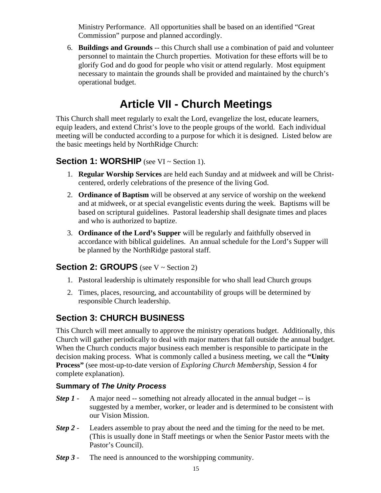Ministry Performance. All opportunities shall be based on an identified "Great Commission" purpose and planned accordingly.

6. **Buildings and Grounds** -- this Church shall use a combination of paid and volunteer personnel to maintain the Church properties. Motivation for these efforts will be to glorify God and do good for people who visit or attend regularly. Most equipment necessary to maintain the grounds shall be provided and maintained by the church's operational budget.

# **Article VII - Church Meetings**

This Church shall meet regularly to exalt the Lord, evangelize the lost, educate learners, equip leaders, and extend Christ's love to the people groups of the world. Each individual meeting will be conducted according to a purpose for which it is designed. Listed below are the basic meetings held by NorthRidge Church:

#### **Section 1: WORSHIP** (see VI ~ Section 1).

- 1. **Regular Worship Services** are held each Sunday and at midweek and will be Christcentered, orderly celebrations of the presence of the living God.
- 2. **Ordinance of Baptism** will be observed at any service of worship on the weekend and at midweek, or at special evangelistic events during the week. Baptisms will be based on scriptural guidelines. Pastoral leadership shall designate times and places and who is authorized to baptize.
- 3. **Ordinance of the Lord's Supper** will be regularly and faithfully observed in accordance with biblical guidelines. An annual schedule for the Lord's Supper will be planned by the NorthRidge pastoral staff.

#### **Section 2: GROUPS** (see V ~ Section 2)

- 1. Pastoral leadership is ultimately responsible for who shall lead Church groups
- 2. Times, places, resourcing, and accountability of groups will be determined by responsible Church leadership.

## **Section 3: CHURCH BUSINESS**

This Church will meet annually to approve the ministry operations budget. Additionally, this Church will gather periodically to deal with major matters that fall outside the annual budget. When the Church conducts major business each member is responsible to participate in the decision making process. What is commonly called a business meeting, we call the **"Unity Process"** (see most-up-to-date version of *Exploring Church Membership*, Session 4 for complete explanation).

#### **Summary of** *The Unity Process*

- *Step 1* A major need -- something not already allocated in the annual budget -- is suggested by a member, worker, or leader and is determined to be consistent with our Vision Mission.
- *Step 2* Leaders assemble to pray about the need and the timing for the need to be met. (This is usually done in Staff meetings or when the Senior Pastor meets with the Pastor's Council).
- *Step 3* The need is announced to the worshipping community.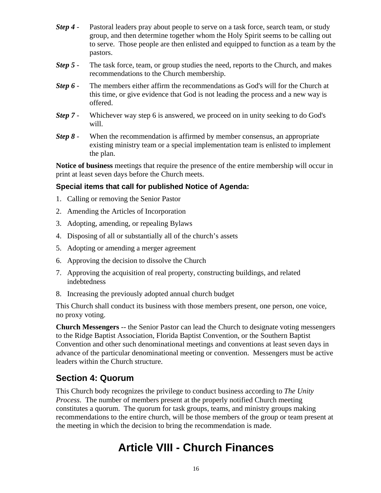- *Step 4* Pastoral leaders pray about people to serve on a task force, search team, or study group, and then determine together whom the Holy Spirit seems to be calling out to serve. Those people are then enlisted and equipped to function as a team by the pastors.
- *Step 5* The task force, team, or group studies the need, reports to the Church, and makes recommendations to the Church membership.
- *Step 6* The members either affirm the recommendations as God's will for the Church at this time, or give evidence that God is not leading the process and a new way is offered.
- *Step 7* Whichever way step 6 is answered, we proceed on in unity seeking to do God's will.
- *Step 8* When the recommendation is affirmed by member consensus, an appropriate existing ministry team or a special implementation team is enlisted to implement the plan.

**Notice of business** meetings that require the presence of the entire membership will occur in print at least seven days before the Church meets.

#### **Special items that call for published Notice of Agenda:**

- 1. Calling or removing the Senior Pastor
- 2. Amending the Articles of Incorporation
- 3. Adopting, amending, or repealing Bylaws
- 4. Disposing of all or substantially all of the church's assets
- 5. Adopting or amending a merger agreement
- 6. Approving the decision to dissolve the Church
- 7. Approving the acquisition of real property, constructing buildings, and related indebtedness
- 8. Increasing the previously adopted annual church budget

This Church shall conduct its business with those members present, one person, one voice, no proxy voting.

**Church Messengers** -- the Senior Pastor can lead the Church to designate voting messengers to the Ridge Baptist Association, Florida Baptist Convention, or the Southern Baptist Convention and other such denominational meetings and conventions at least seven days in advance of the particular denominational meeting or convention. Messengers must be active leaders within the Church structure.

#### **Section 4: Quorum**

This Church body recognizes the privilege to conduct business according to *The Unity Process*. The number of members present at the properly notified Church meeting constitutes a quorum. The quorum for task groups, teams, and ministry groups making recommendations to the entire church, will be those members of the group or team present at the meeting in which the decision to bring the recommendation is made.

## **Article VIII - Church Finances**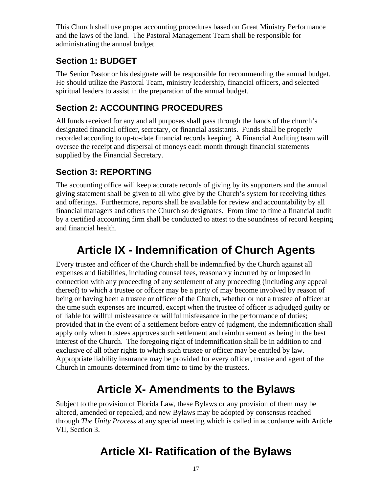This Church shall use proper accounting procedures based on Great Ministry Performance and the laws of the land. The Pastoral Management Team shall be responsible for administrating the annual budget.

## **Section 1: BUDGET**

The Senior Pastor or his designate will be responsible for recommending the annual budget. He should utilize the Pastoral Team, ministry leadership, financial officers, and selected spiritual leaders to assist in the preparation of the annual budget.

## **Section 2: ACCOUNTING PROCEDURES**

All funds received for any and all purposes shall pass through the hands of the church's designated financial officer, secretary, or financial assistants. Funds shall be properly recorded according to up-to-date financial records keeping. A Financial Auditing team will oversee the receipt and dispersal of moneys each month through financial statements supplied by the Financial Secretary.

## **Section 3: REPORTING**

The accounting office will keep accurate records of giving by its supporters and the annual giving statement shall be given to all who give by the Church's system for receiving tithes and offerings. Furthermore, reports shall be available for review and accountability by all financial managers and others the Church so designates. From time to time a financial audit by a certified accounting firm shall be conducted to attest to the soundness of record keeping and financial health.

# **Article IX - Indemnification of Church Agents**

Every trustee and officer of the Church shall be indemnified by the Church against all expenses and liabilities, including counsel fees, reasonably incurred by or imposed in connection with any proceeding of any settlement of any proceeding (including any appeal thereof) to which a trustee or officer may be a party of may become involved by reason of being or having been a trustee or officer of the Church, whether or not a trustee of officer at the time such expenses are incurred, except when the trustee of officer is adjudged guilty or of liable for willful misfeasance or willful misfeasance in the performance of duties; provided that in the event of a settlement before entry of judgment, the indemnification shall apply only when trustees approves such settlement and reimbursement as being in the best interest of the Church. The foregoing right of indemnification shall be in addition to and exclusive of all other rights to which such trustee or officer may be entitled by law. Appropriate liability insurance may be provided for every officer, trustee and agent of the Church in amounts determined from time to time by the trustees.

# **Article X- Amendments to the Bylaws**

Subject to the provision of Florida Law, these Bylaws or any provision of them may be altered, amended or repealed, and new Bylaws may be adopted by consensus reached through *The Unity Process* at any special meeting which is called in accordance with Article VII, Section 3.

# **Article XI- Ratification of the Bylaws**